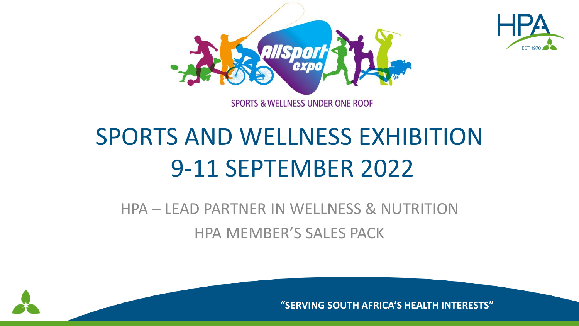



# SPORTS AND WELLNESS EXHIBITION 9-11 SEPTEMBER 2022

## HPA – LEAD PARTNER IN WELLNESS & NUTRITION HPA MEMBER'S SALES PACK



**"SERVING SOUTH AFRICA'S HEALTH INTERESTS"**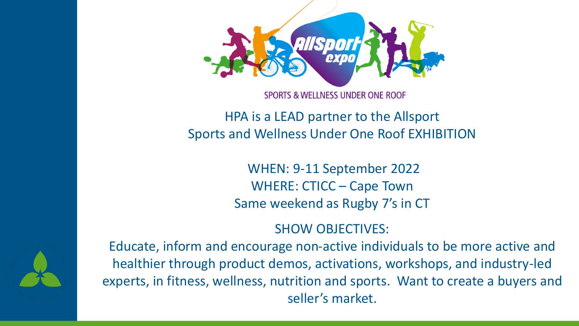

#### **SPORTS & WELLNESS UNDER ONE ROOF**

### HPA is a LEAD partner to the Allsport Sports and Wellness Under One Roof EXHIBITION

WHEN: 9-11 September 2022 WHERE: CTICC – Cape Town Same weekend as Rugby 7's in CT

#### SHOW OBJECTIVES:

Educate, inform and encourage non-active individuals to be more active and healthier through product demos, activations, workshops, and industry-led experts, in fitness, wellness, nutrition and sports. Want to create a buyers and seller's market.

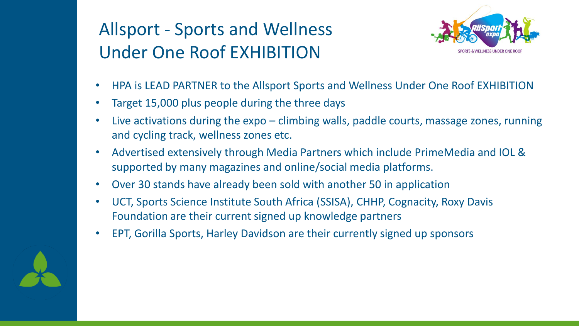## Allsport - Sports and Wellness Under One Roof EXHIBITION



- HPA is LEAD PARTNER to the Allsport Sports and Wellness Under One Roof EXHIBITION
- Target 15,000 plus people during the three days
- Live activations during the expo climbing walls, paddle courts, massage zones, running and cycling track, wellness zones etc.
- Advertised extensively through Media Partners which include PrimeMedia and IOL & supported by many magazines and online/social media platforms.
- Over 30 stands have already been sold with another 50 in application
- UCT, Sports Science Institute South Africa (SSISA), CHHP, Cognacity, Roxy Davis Foundation are their current signed up knowledge partners
- EPT, Gorilla Sports, Harley Davidson are their currently signed up sponsors

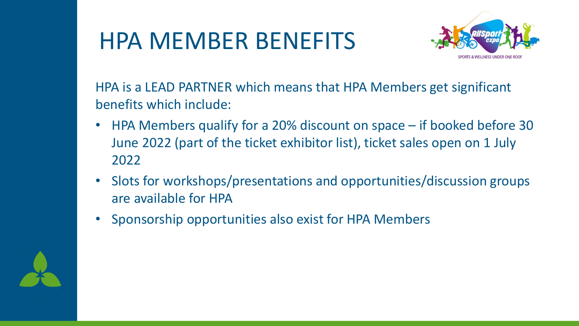## HPA MEMBER BENEFITS



HPA is a LEAD PARTNER which means that HPA Members get significant benefits which include:

- HPA Members qualify for a 20% discount on space if booked before 30 June 2022 (part of the ticket exhibitor list), ticket sales open on 1 July 2022
- Slots for workshops/presentations and opportunities/discussion groups are available for HPA
- Sponsorship opportunities also exist for HPA Members

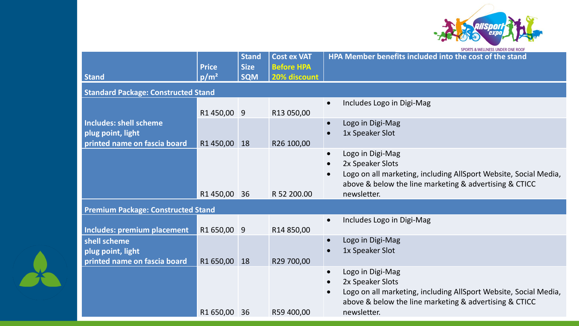

| <b>Stand</b>                                                      | <b>Price</b><br>$p/m^2$ | <b>Stand</b><br><b>Size</b><br><b>SQM</b> | <b>Cost ex VAT</b><br><b>Before HPA</b><br>20% discount | <b>SEQUIS &amp; WELLINESS UNDER UNE ROOF</b><br><b>HPA Member benefits included into the cost of the stand</b>                                                                                                           |  |  |
|-------------------------------------------------------------------|-------------------------|-------------------------------------------|---------------------------------------------------------|--------------------------------------------------------------------------------------------------------------------------------------------------------------------------------------------------------------------------|--|--|
| <b>Standard Package: Constructed Stand</b>                        |                         |                                           |                                                         |                                                                                                                                                                                                                          |  |  |
| <b>Includes: shell scheme</b>                                     | R1450,00 9              |                                           | R13 050,00                                              | Includes Logo in Digi-Mag<br>$\bullet$<br>Logo in Digi-Mag<br>$\bullet$                                                                                                                                                  |  |  |
| plug point, light<br>printed name on fascia board                 | R1 450,00               | 18                                        | R26 100,00                                              | 1x Speaker Slot                                                                                                                                                                                                          |  |  |
|                                                                   | R1 450,00 36            |                                           | R 52 200.00                                             | Logo in Digi-Mag<br>$\bullet$<br>2x Speaker Slots<br>$\bullet$<br>Logo on all marketing, including AllSport Website, Social Media,<br>above & below the line marketing & advertising & CTICC<br>newsletter.              |  |  |
| <b>Premium Package: Constructed Stand</b>                         |                         |                                           |                                                         |                                                                                                                                                                                                                          |  |  |
| <b>Includes: premium placement</b>                                | R1 650,00 9             |                                           | R14 850,00                                              | Includes Logo in Digi-Mag<br>$\bullet$                                                                                                                                                                                   |  |  |
| shell scheme<br>plug point, light<br>printed name on fascia board | R1 650,00               | 18                                        | R29 700,00                                              | Logo in Digi-Mag<br>$\bullet$<br>1x Speaker Slot                                                                                                                                                                         |  |  |
|                                                                   | R1 650,00               | 36                                        | R59 400,00                                              | Logo in Digi-Mag<br>$\bullet$<br>2x Speaker Slots<br>$\bullet$<br>Logo on all marketing, including AllSport Website, Social Media,<br>$\bullet$<br>above & below the line marketing & advertising & CTICC<br>newsletter. |  |  |

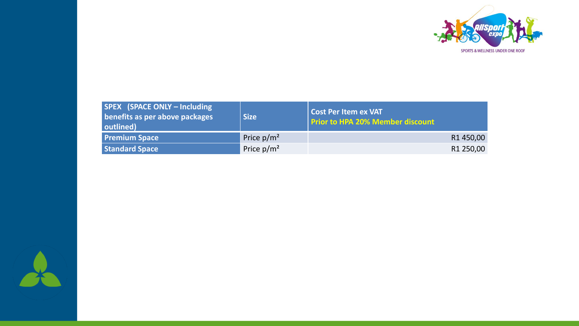

| <b>SPEX</b> (SPACE ONLY – Including<br>benefits as per above packages<br>outlined) | <b>Size</b>   | <b>Cost Per Item ex VAT</b><br><b>Prior to HPA 20% Member discount</b> |
|------------------------------------------------------------------------------------|---------------|------------------------------------------------------------------------|
| <b>Premium Space</b>                                                               | Price $p/m^2$ | R1450,00                                                               |
| Standard Space                                                                     | Price $p/m^2$ | R1 250,00                                                              |